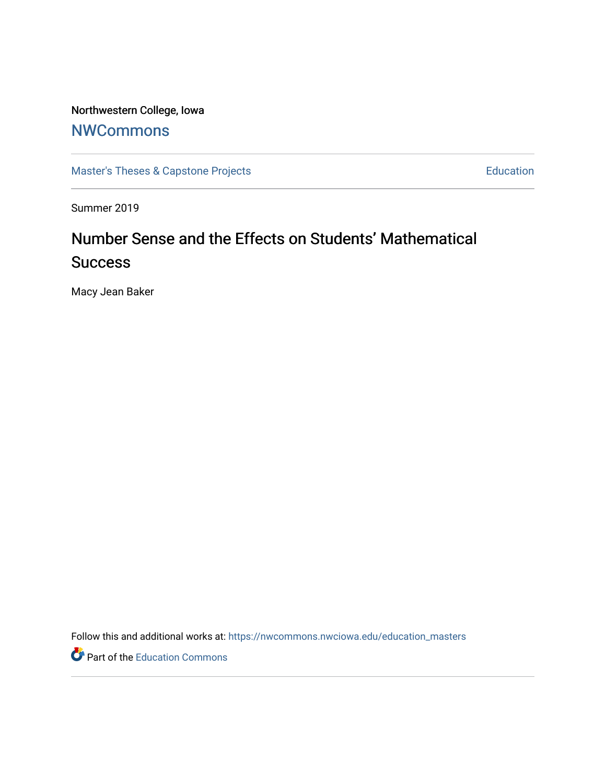# Northwestern College, Iowa

# **[NWCommons](https://nwcommons.nwciowa.edu/)**

[Master's Theses & Capstone Projects](https://nwcommons.nwciowa.edu/education_masters) **Education** Education

Summer 2019

# Number Sense and the Effects on Students' Mathematical **Success**

Macy Jean Baker

Follow this and additional works at: [https://nwcommons.nwciowa.edu/education\\_masters](https://nwcommons.nwciowa.edu/education_masters?utm_source=nwcommons.nwciowa.edu%2Feducation_masters%2F165&utm_medium=PDF&utm_campaign=PDFCoverPages)

Part of the [Education Commons](http://network.bepress.com/hgg/discipline/784?utm_source=nwcommons.nwciowa.edu%2Feducation_masters%2F165&utm_medium=PDF&utm_campaign=PDFCoverPages)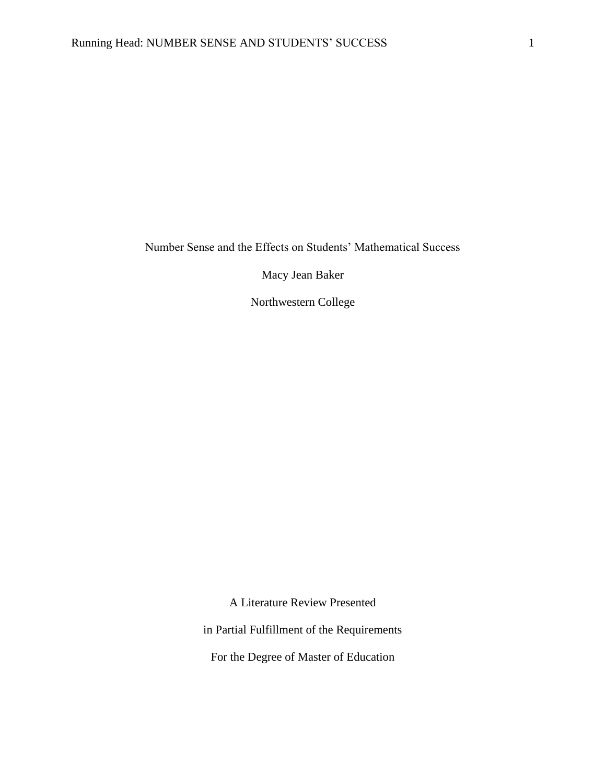Number Sense and the Effects on Students' Mathematical Success

Macy Jean Baker

Northwestern College

A Literature Review Presented

in Partial Fulfillment of the Requirements

For the Degree of Master of Education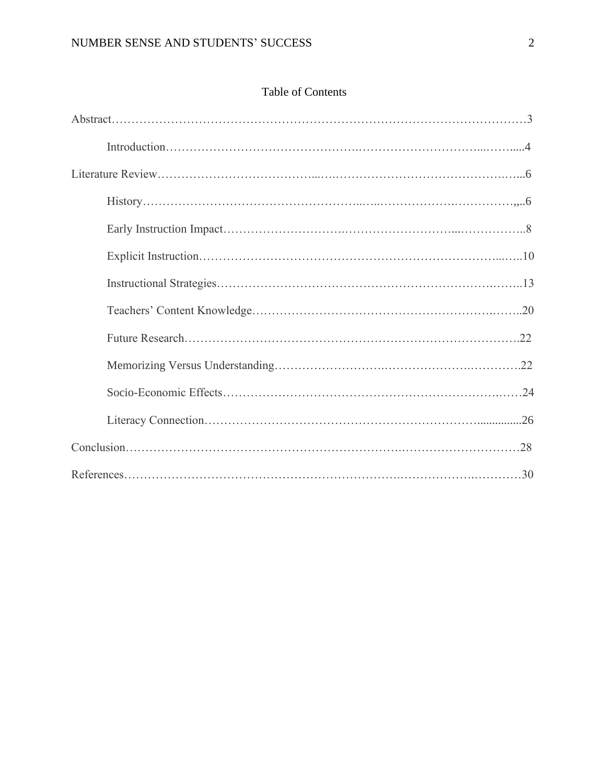|  | Table of Contents |
|--|-------------------|
|--|-------------------|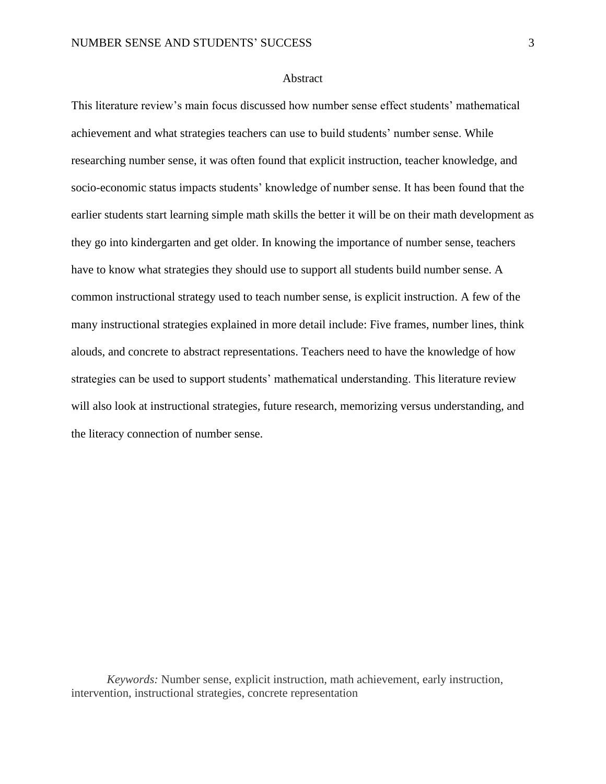# **Abstract**

This literature review's main focus discussed how number sense effect students' mathematical achievement and what strategies teachers can use to build students' number sense. While researching number sense, it was often found that explicit instruction, teacher knowledge, and socio-economic status impacts students' knowledge of number sense. It has been found that the earlier students start learning simple math skills the better it will be on their math development as they go into kindergarten and get older. In knowing the importance of number sense, teachers have to know what strategies they should use to support all students build number sense. A common instructional strategy used to teach number sense, is explicit instruction. A few of the many instructional strategies explained in more detail include: Five frames, number lines, think alouds, and concrete to abstract representations. Teachers need to have the knowledge of how strategies can be used to support students' mathematical understanding. This literature review will also look at instructional strategies, future research, memorizing versus understanding, and the literacy connection of number sense.

*Keywords:* Number sense, explicit instruction, math achievement, early instruction, intervention, instructional strategies, concrete representation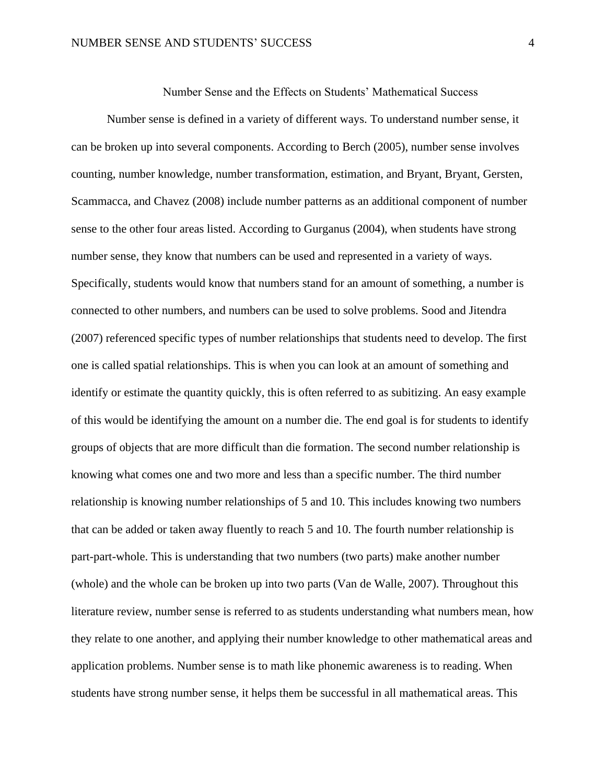Number Sense and the Effects on Students' Mathematical Success

Number sense is defined in a variety of different ways. To understand number sense, it can be broken up into several components. According to Berch (2005), number sense involves counting, number knowledge, number transformation, estimation, and Bryant, Bryant, Gersten, Scammacca, and Chavez (2008) include number patterns as an additional component of number sense to the other four areas listed. According to Gurganus (2004), when students have strong number sense, they know that numbers can be used and represented in a variety of ways. Specifically, students would know that numbers stand for an amount of something, a number is connected to other numbers, and numbers can be used to solve problems. Sood and Jitendra (2007) referenced specific types of number relationships that students need to develop. The first one is called spatial relationships. This is when you can look at an amount of something and identify or estimate the quantity quickly, this is often referred to as subitizing. An easy example of this would be identifying the amount on a number die. The end goal is for students to identify groups of objects that are more difficult than die formation. The second number relationship is knowing what comes one and two more and less than a specific number. The third number relationship is knowing number relationships of 5 and 10. This includes knowing two numbers that can be added or taken away fluently to reach 5 and 10. The fourth number relationship is part-part-whole. This is understanding that two numbers (two parts) make another number (whole) and the whole can be broken up into two parts (Van de Walle, 2007). Throughout this literature review, number sense is referred to as students understanding what numbers mean, how they relate to one another, and applying their number knowledge to other mathematical areas and application problems. Number sense is to math like phonemic awareness is to reading. When students have strong number sense, it helps them be successful in all mathematical areas. This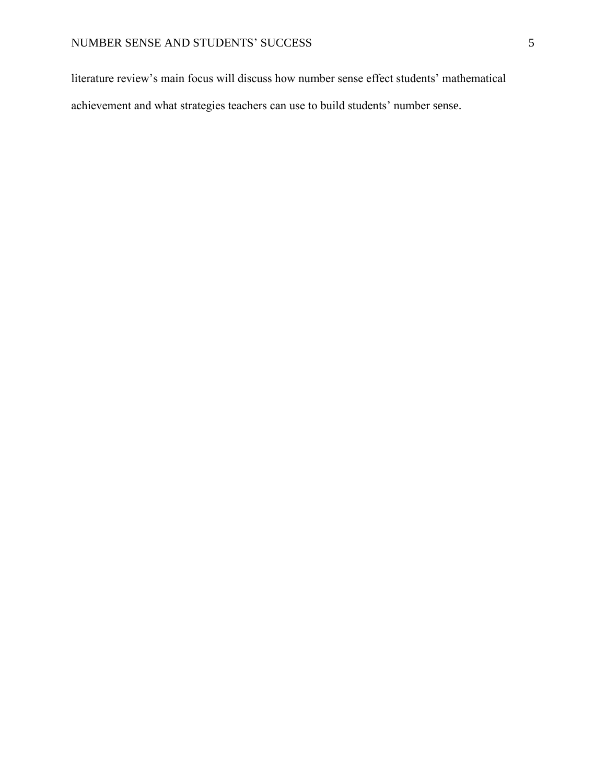literature review's main focus will discuss how number sense effect students' mathematical achievement and what strategies teachers can use to build students' number sense.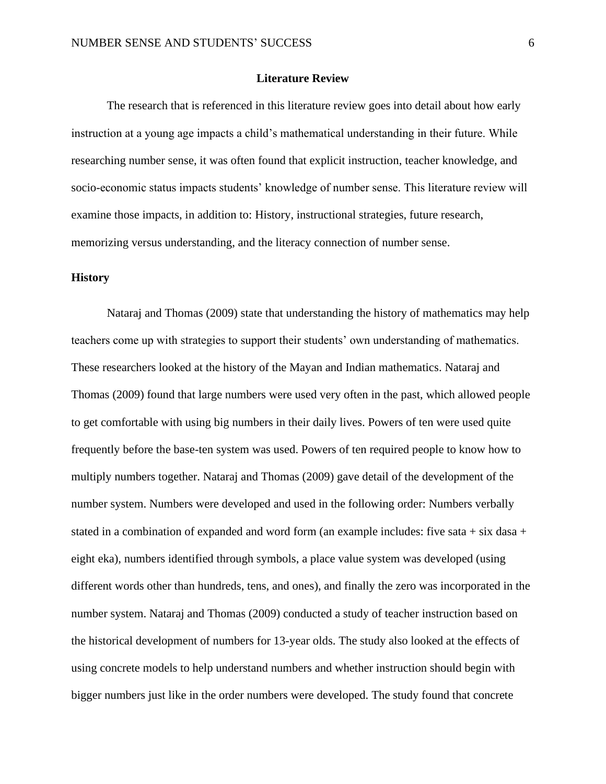# **Literature Review**

The research that is referenced in this literature review goes into detail about how early instruction at a young age impacts a child's mathematical understanding in their future. While researching number sense, it was often found that explicit instruction, teacher knowledge, and socio-economic status impacts students' knowledge of number sense. This literature review will examine those impacts, in addition to: History, instructional strategies, future research, memorizing versus understanding, and the literacy connection of number sense.

# **History**

Nataraj and Thomas (2009) state that understanding the history of mathematics may help teachers come up with strategies to support their students' own understanding of mathematics. These researchers looked at the history of the Mayan and Indian mathematics. Nataraj and Thomas (2009) found that large numbers were used very often in the past, which allowed people to get comfortable with using big numbers in their daily lives. Powers of ten were used quite frequently before the base-ten system was used. Powers of ten required people to know how to multiply numbers together. Nataraj and Thomas (2009) gave detail of the development of the number system. Numbers were developed and used in the following order: Numbers verbally stated in a combination of expanded and word form (an example includes: five sata + six dasa + eight eka), numbers identified through symbols, a place value system was developed (using different words other than hundreds, tens, and ones), and finally the zero was incorporated in the number system. Nataraj and Thomas (2009) conducted a study of teacher instruction based on the historical development of numbers for 13-year olds. The study also looked at the effects of using concrete models to help understand numbers and whether instruction should begin with bigger numbers just like in the order numbers were developed. The study found that concrete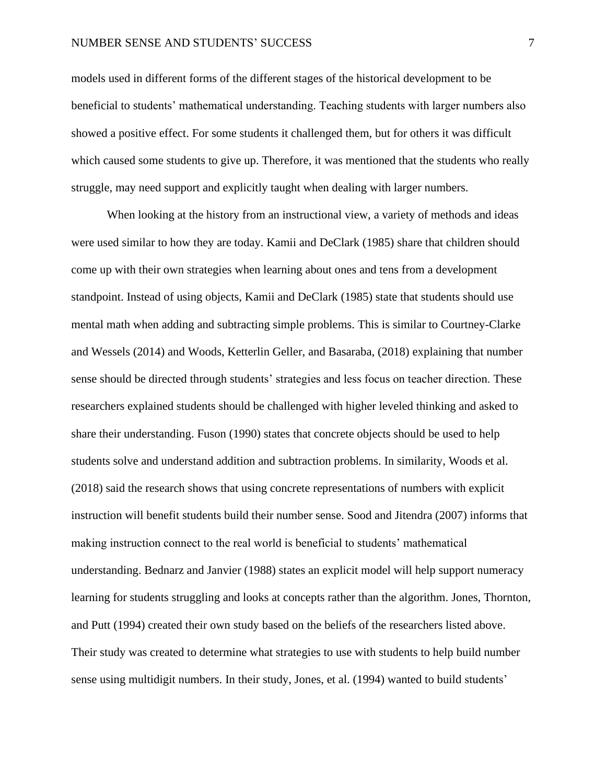# NUMBER SENSE AND STUDENTS' SUCCESS 7

models used in different forms of the different stages of the historical development to be beneficial to students' mathematical understanding. Teaching students with larger numbers also showed a positive effect. For some students it challenged them, but for others it was difficult which caused some students to give up. Therefore, it was mentioned that the students who really struggle, may need support and explicitly taught when dealing with larger numbers.

When looking at the history from an instructional view, a variety of methods and ideas were used similar to how they are today. Kamii and DeClark (1985) share that children should come up with their own strategies when learning about ones and tens from a development standpoint. Instead of using objects, Kamii and DeClark (1985) state that students should use mental math when adding and subtracting simple problems. This is similar to Courtney-Clarke and Wessels (2014) and Woods, Ketterlin Geller, and Basaraba, (2018) explaining that number sense should be directed through students' strategies and less focus on teacher direction. These researchers explained students should be challenged with higher leveled thinking and asked to share their understanding. Fuson (1990) states that concrete objects should be used to help students solve and understand addition and subtraction problems. In similarity, Woods et al. (2018) said the research shows that using concrete representations of numbers with explicit instruction will benefit students build their number sense. Sood and Jitendra (2007) informs that making instruction connect to the real world is beneficial to students' mathematical understanding. Bednarz and Janvier (1988) states an explicit model will help support numeracy learning for students struggling and looks at concepts rather than the algorithm. Jones, Thornton, and Putt (1994) created their own study based on the beliefs of the researchers listed above. Their study was created to determine what strategies to use with students to help build number sense using multidigit numbers. In their study, Jones, et al. (1994) wanted to build students'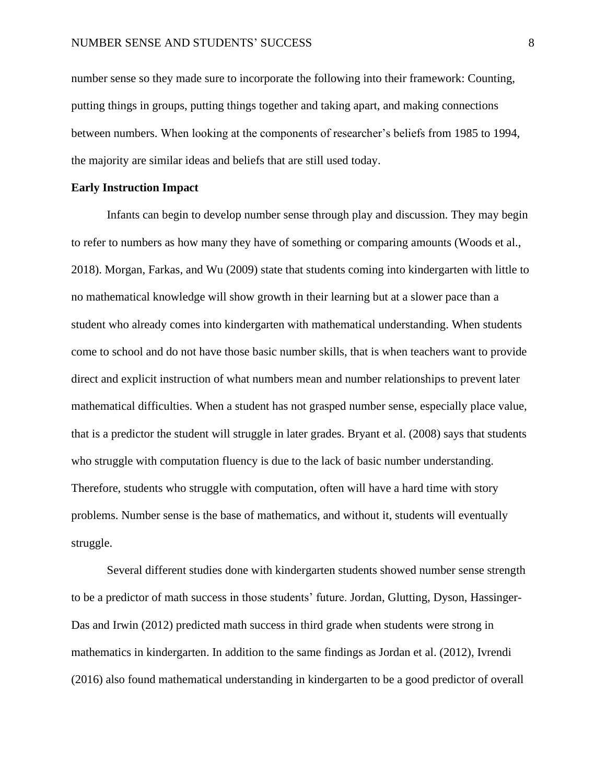number sense so they made sure to incorporate the following into their framework: Counting, putting things in groups, putting things together and taking apart, and making connections between numbers. When looking at the components of researcher's beliefs from 1985 to 1994, the majority are similar ideas and beliefs that are still used today.

#### **Early Instruction Impact**

Infants can begin to develop number sense through play and discussion. They may begin to refer to numbers as how many they have of something or comparing amounts (Woods et al., 2018). Morgan, Farkas, and Wu (2009) state that students coming into kindergarten with little to no mathematical knowledge will show growth in their learning but at a slower pace than a student who already comes into kindergarten with mathematical understanding. When students come to school and do not have those basic number skills, that is when teachers want to provide direct and explicit instruction of what numbers mean and number relationships to prevent later mathematical difficulties. When a student has not grasped number sense, especially place value, that is a predictor the student will struggle in later grades. Bryant et al. (2008) says that students who struggle with computation fluency is due to the lack of basic number understanding. Therefore, students who struggle with computation, often will have a hard time with story problems. Number sense is the base of mathematics, and without it, students will eventually struggle.

Several different studies done with kindergarten students showed number sense strength to be a predictor of math success in those students' future. Jordan, Glutting, Dyson, Hassinger-Das and Irwin (2012) predicted math success in third grade when students were strong in mathematics in kindergarten. In addition to the same findings as Jordan et al. (2012), Ivrendi (2016) also found mathematical understanding in kindergarten to be a good predictor of overall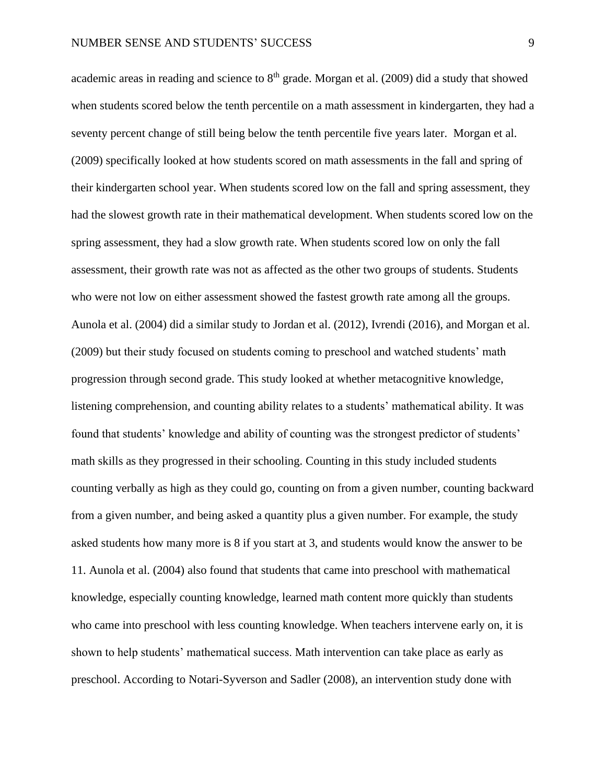academic areas in reading and science to  $8<sup>th</sup>$  grade. Morgan et al. (2009) did a study that showed when students scored below the tenth percentile on a math assessment in kindergarten, they had a seventy percent change of still being below the tenth percentile five years later. Morgan et al. (2009) specifically looked at how students scored on math assessments in the fall and spring of their kindergarten school year. When students scored low on the fall and spring assessment, they had the slowest growth rate in their mathematical development. When students scored low on the spring assessment, they had a slow growth rate. When students scored low on only the fall assessment, their growth rate was not as affected as the other two groups of students. Students who were not low on either assessment showed the fastest growth rate among all the groups. Aunola et al. (2004) did a similar study to Jordan et al. (2012), Ivrendi (2016), and Morgan et al. (2009) but their study focused on students coming to preschool and watched students' math progression through second grade. This study looked at whether metacognitive knowledge, listening comprehension, and counting ability relates to a students' mathematical ability. It was found that students' knowledge and ability of counting was the strongest predictor of students' math skills as they progressed in their schooling. Counting in this study included students counting verbally as high as they could go, counting on from a given number, counting backward from a given number, and being asked a quantity plus a given number. For example, the study asked students how many more is 8 if you start at 3, and students would know the answer to be 11. Aunola et al. (2004) also found that students that came into preschool with mathematical knowledge, especially counting knowledge, learned math content more quickly than students who came into preschool with less counting knowledge. When teachers intervene early on, it is shown to help students' mathematical success. Math intervention can take place as early as preschool. According to Notari-Syverson and Sadler (2008), an intervention study done with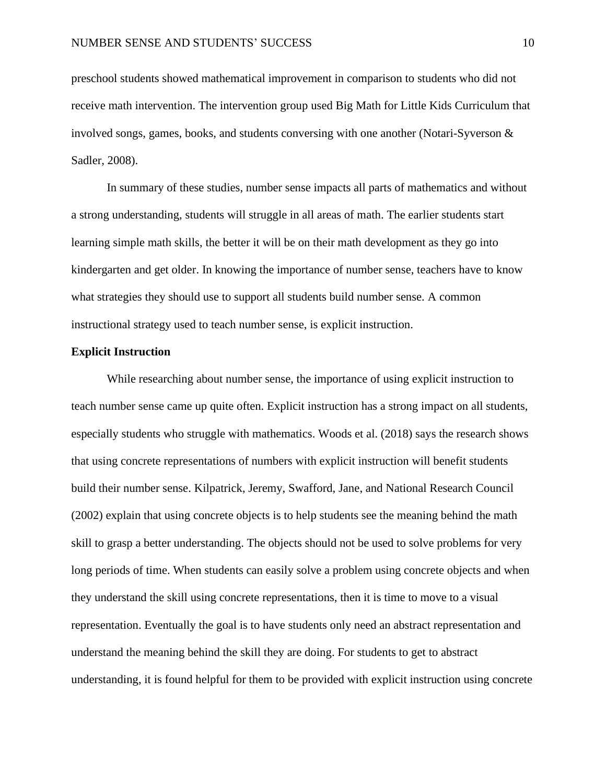preschool students showed mathematical improvement in comparison to students who did not receive math intervention. The intervention group used Big Math for Little Kids Curriculum that involved songs, games, books, and students conversing with one another (Notari-Syverson & Sadler, 2008).

In summary of these studies, number sense impacts all parts of mathematics and without a strong understanding, students will struggle in all areas of math. The earlier students start learning simple math skills, the better it will be on their math development as they go into kindergarten and get older. In knowing the importance of number sense, teachers have to know what strategies they should use to support all students build number sense. A common instructional strategy used to teach number sense, is explicit instruction.

# **Explicit Instruction**

While researching about number sense, the importance of using explicit instruction to teach number sense came up quite often. Explicit instruction has a strong impact on all students, especially students who struggle with mathematics. Woods et al. (2018) says the research shows that using concrete representations of numbers with explicit instruction will benefit students build their number sense. Kilpatrick, Jeremy, Swafford, Jane, and National Research Council (2002) explain that using concrete objects is to help students see the meaning behind the math skill to grasp a better understanding. The objects should not be used to solve problems for very long periods of time. When students can easily solve a problem using concrete objects and when they understand the skill using concrete representations, then it is time to move to a visual representation. Eventually the goal is to have students only need an abstract representation and understand the meaning behind the skill they are doing. For students to get to abstract understanding, it is found helpful for them to be provided with explicit instruction using concrete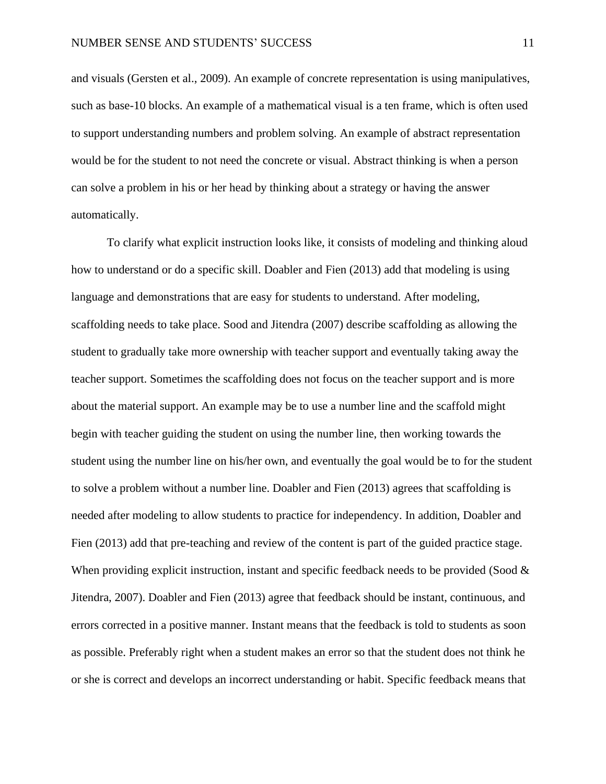and visuals (Gersten et al., 2009). An example of concrete representation is using manipulatives, such as base-10 blocks. An example of a mathematical visual is a ten frame, which is often used to support understanding numbers and problem solving. An example of abstract representation would be for the student to not need the concrete or visual. Abstract thinking is when a person can solve a problem in his or her head by thinking about a strategy or having the answer automatically.

To clarify what explicit instruction looks like, it consists of modeling and thinking aloud how to understand or do a specific skill. Doabler and Fien (2013) add that modeling is using language and demonstrations that are easy for students to understand. After modeling, scaffolding needs to take place. Sood and Jitendra (2007) describe scaffolding as allowing the student to gradually take more ownership with teacher support and eventually taking away the teacher support. Sometimes the scaffolding does not focus on the teacher support and is more about the material support. An example may be to use a number line and the scaffold might begin with teacher guiding the student on using the number line, then working towards the student using the number line on his/her own, and eventually the goal would be to for the student to solve a problem without a number line. Doabler and Fien (2013) agrees that scaffolding is needed after modeling to allow students to practice for independency. In addition, Doabler and Fien (2013) add that pre-teaching and review of the content is part of the guided practice stage. When providing explicit instruction, instant and specific feedback needs to be provided (Sood  $\&$ Jitendra, 2007). Doabler and Fien (2013) agree that feedback should be instant, continuous, and errors corrected in a positive manner. Instant means that the feedback is told to students as soon as possible. Preferably right when a student makes an error so that the student does not think he or she is correct and develops an incorrect understanding or habit. Specific feedback means that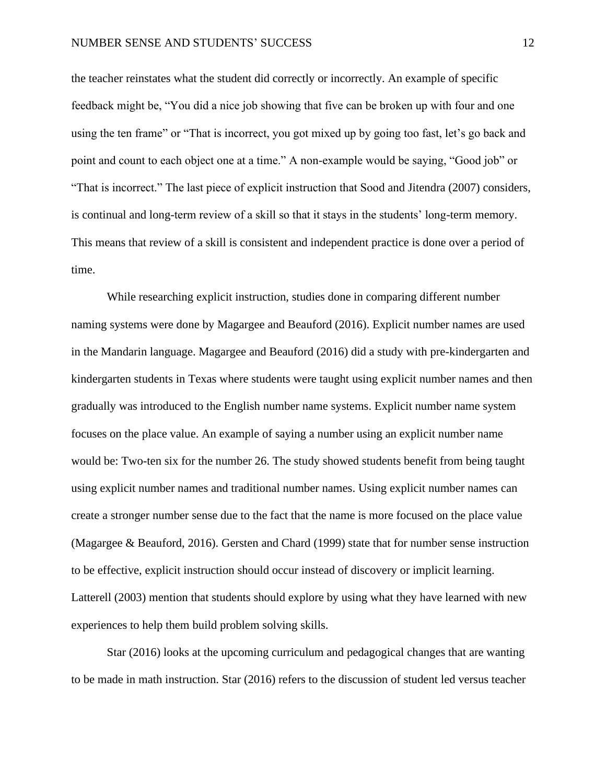the teacher reinstates what the student did correctly or incorrectly. An example of specific feedback might be, "You did a nice job showing that five can be broken up with four and one using the ten frame" or "That is incorrect, you got mixed up by going too fast, let's go back and point and count to each object one at a time." A non-example would be saying, "Good job" or "That is incorrect." The last piece of explicit instruction that Sood and Jitendra (2007) considers, is continual and long-term review of a skill so that it stays in the students' long-term memory. This means that review of a skill is consistent and independent practice is done over a period of time.

While researching explicit instruction, studies done in comparing different number naming systems were done by Magargee and Beauford (2016). Explicit number names are used in the Mandarin language. Magargee and Beauford (2016) did a study with pre-kindergarten and kindergarten students in Texas where students were taught using explicit number names and then gradually was introduced to the English number name systems. Explicit number name system focuses on the place value. An example of saying a number using an explicit number name would be: Two-ten six for the number 26. The study showed students benefit from being taught using explicit number names and traditional number names. Using explicit number names can create a stronger number sense due to the fact that the name is more focused on the place value (Magargee & Beauford, 2016). Gersten and Chard (1999) state that for number sense instruction to be effective, explicit instruction should occur instead of discovery or implicit learning. Latterell (2003) mention that students should explore by using what they have learned with new experiences to help them build problem solving skills.

Star (2016) looks at the upcoming curriculum and pedagogical changes that are wanting to be made in math instruction. Star (2016) refers to the discussion of student led versus teacher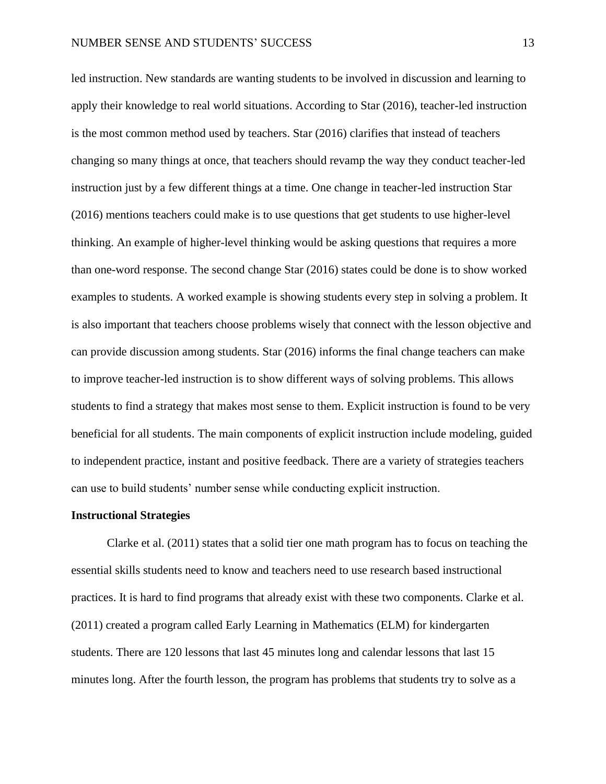led instruction. New standards are wanting students to be involved in discussion and learning to apply their knowledge to real world situations. According to Star (2016), teacher-led instruction is the most common method used by teachers. Star (2016) clarifies that instead of teachers changing so many things at once, that teachers should revamp the way they conduct teacher-led instruction just by a few different things at a time. One change in teacher-led instruction Star (2016) mentions teachers could make is to use questions that get students to use higher-level thinking. An example of higher-level thinking would be asking questions that requires a more than one-word response. The second change Star (2016) states could be done is to show worked examples to students. A worked example is showing students every step in solving a problem. It is also important that teachers choose problems wisely that connect with the lesson objective and can provide discussion among students. Star (2016) informs the final change teachers can make to improve teacher-led instruction is to show different ways of solving problems. This allows students to find a strategy that makes most sense to them. Explicit instruction is found to be very beneficial for all students. The main components of explicit instruction include modeling, guided to independent practice, instant and positive feedback. There are a variety of strategies teachers can use to build students' number sense while conducting explicit instruction.

#### **Instructional Strategies**

Clarke et al. (2011) states that a solid tier one math program has to focus on teaching the essential skills students need to know and teachers need to use research based instructional practices. It is hard to find programs that already exist with these two components. Clarke et al. (2011) created a program called Early Learning in Mathematics (ELM) for kindergarten students. There are 120 lessons that last 45 minutes long and calendar lessons that last 15 minutes long. After the fourth lesson, the program has problems that students try to solve as a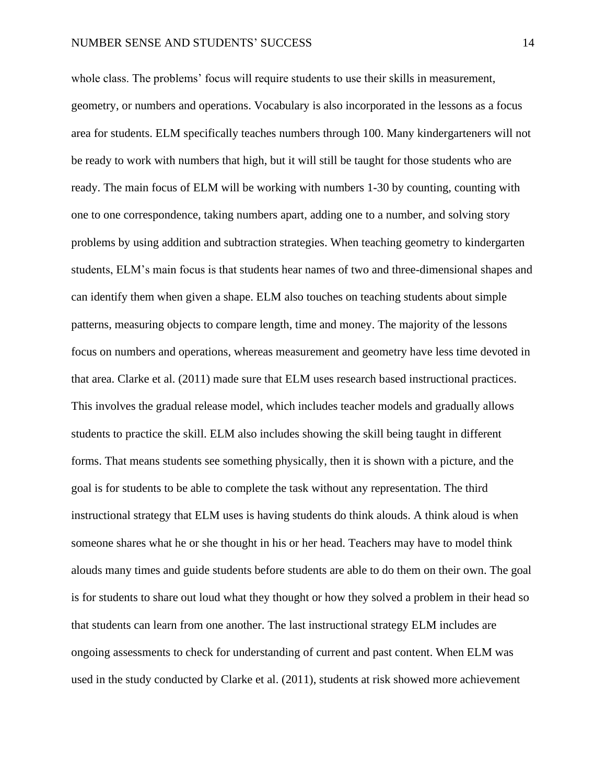# NUMBER SENSE AND STUDENTS' SUCCESS 14

whole class. The problems' focus will require students to use their skills in measurement, geometry, or numbers and operations. Vocabulary is also incorporated in the lessons as a focus area for students. ELM specifically teaches numbers through 100. Many kindergarteners will not be ready to work with numbers that high, but it will still be taught for those students who are ready. The main focus of ELM will be working with numbers 1-30 by counting, counting with one to one correspondence, taking numbers apart, adding one to a number, and solving story problems by using addition and subtraction strategies. When teaching geometry to kindergarten students, ELM's main focus is that students hear names of two and three-dimensional shapes and can identify them when given a shape. ELM also touches on teaching students about simple patterns, measuring objects to compare length, time and money. The majority of the lessons focus on numbers and operations, whereas measurement and geometry have less time devoted in that area. Clarke et al. (2011) made sure that ELM uses research based instructional practices. This involves the gradual release model, which includes teacher models and gradually allows students to practice the skill. ELM also includes showing the skill being taught in different forms. That means students see something physically, then it is shown with a picture, and the goal is for students to be able to complete the task without any representation. The third instructional strategy that ELM uses is having students do think alouds. A think aloud is when someone shares what he or she thought in his or her head. Teachers may have to model think alouds many times and guide students before students are able to do them on their own. The goal is for students to share out loud what they thought or how they solved a problem in their head so that students can learn from one another. The last instructional strategy ELM includes are ongoing assessments to check for understanding of current and past content. When ELM was used in the study conducted by Clarke et al. (2011), students at risk showed more achievement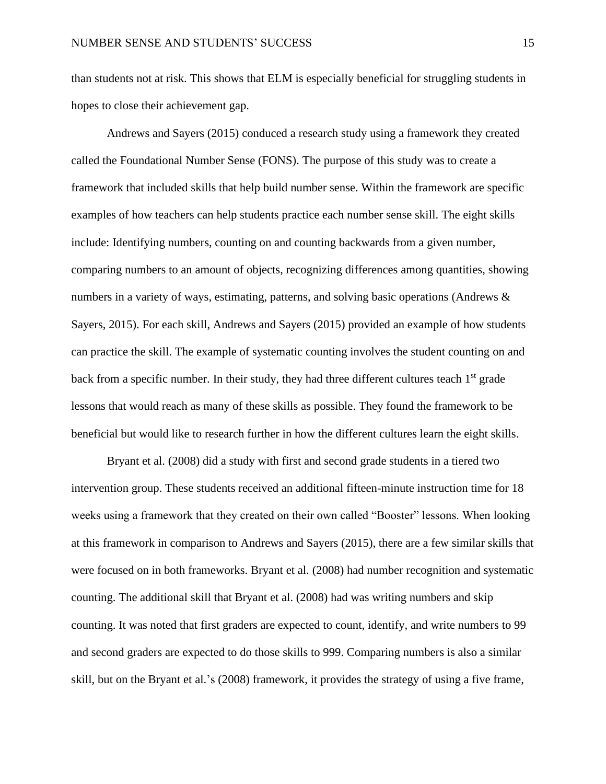than students not at risk. This shows that ELM is especially beneficial for struggling students in hopes to close their achievement gap.

Andrews and Sayers (2015) conduced a research study using a framework they created called the Foundational Number Sense (FONS). The purpose of this study was to create a framework that included skills that help build number sense. Within the framework are specific examples of how teachers can help students practice each number sense skill. The eight skills include: Identifying numbers, counting on and counting backwards from a given number, comparing numbers to an amount of objects, recognizing differences among quantities, showing numbers in a variety of ways, estimating, patterns, and solving basic operations (Andrews & Sayers, 2015). For each skill, Andrews and Sayers (2015) provided an example of how students can practice the skill. The example of systematic counting involves the student counting on and back from a specific number. In their study, they had three different cultures teach 1<sup>st</sup> grade lessons that would reach as many of these skills as possible. They found the framework to be beneficial but would like to research further in how the different cultures learn the eight skills.

Bryant et al. (2008) did a study with first and second grade students in a tiered two intervention group. These students received an additional fifteen-minute instruction time for 18 weeks using a framework that they created on their own called "Booster" lessons. When looking at this framework in comparison to Andrews and Sayers (2015), there are a few similar skills that were focused on in both frameworks. Bryant et al. (2008) had number recognition and systematic counting. The additional skill that Bryant et al. (2008) had was writing numbers and skip counting. It was noted that first graders are expected to count, identify, and write numbers to 99 and second graders are expected to do those skills to 999. Comparing numbers is also a similar skill, but on the Bryant et al.'s (2008) framework, it provides the strategy of using a five frame,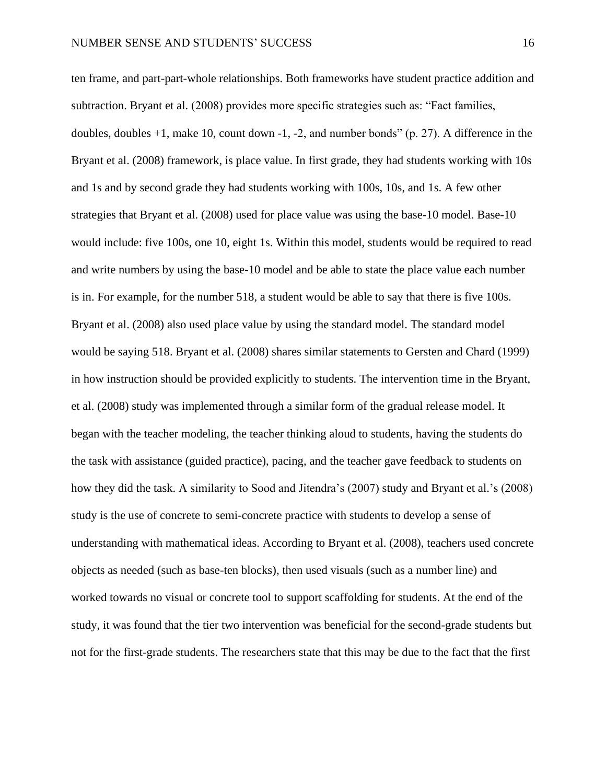ten frame, and part-part-whole relationships. Both frameworks have student practice addition and subtraction. Bryant et al. (2008) provides more specific strategies such as: "Fact families, doubles, doubles +1, make 10, count down -1, -2, and number bonds" (p. 27). A difference in the Bryant et al. (2008) framework, is place value. In first grade, they had students working with 10s and 1s and by second grade they had students working with 100s, 10s, and 1s. A few other strategies that Bryant et al. (2008) used for place value was using the base-10 model. Base-10 would include: five 100s, one 10, eight 1s. Within this model, students would be required to read and write numbers by using the base-10 model and be able to state the place value each number is in. For example, for the number 518, a student would be able to say that there is five 100s. Bryant et al. (2008) also used place value by using the standard model. The standard model would be saying 518. Bryant et al. (2008) shares similar statements to Gersten and Chard (1999) in how instruction should be provided explicitly to students. The intervention time in the Bryant, et al. (2008) study was implemented through a similar form of the gradual release model. It began with the teacher modeling, the teacher thinking aloud to students, having the students do the task with assistance (guided practice), pacing, and the teacher gave feedback to students on how they did the task. A similarity to Sood and Jitendra's (2007) study and Bryant et al.'s (2008) study is the use of concrete to semi-concrete practice with students to develop a sense of understanding with mathematical ideas. According to Bryant et al. (2008), teachers used concrete objects as needed (such as base-ten blocks), then used visuals (such as a number line) and worked towards no visual or concrete tool to support scaffolding for students. At the end of the study, it was found that the tier two intervention was beneficial for the second-grade students but not for the first-grade students. The researchers state that this may be due to the fact that the first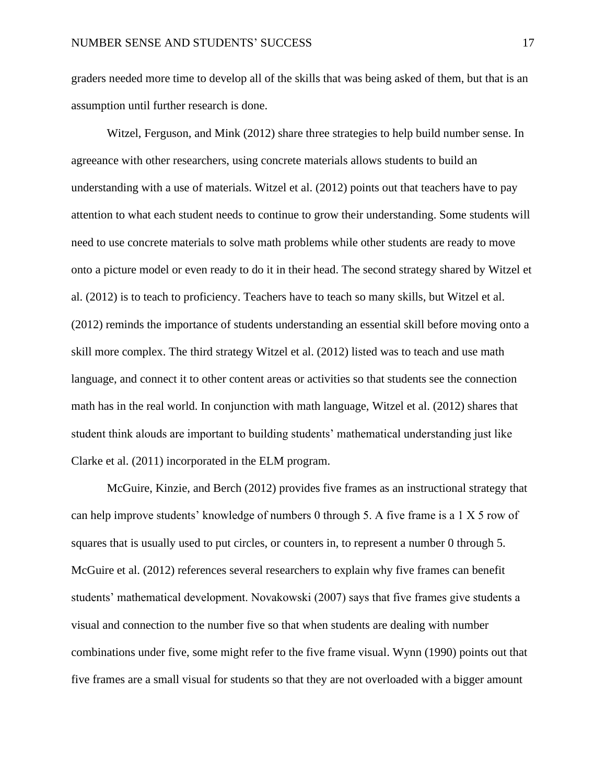graders needed more time to develop all of the skills that was being asked of them, but that is an assumption until further research is done.

Witzel, Ferguson, and Mink (2012) share three strategies to help build number sense. In agreeance with other researchers, using concrete materials allows students to build an understanding with a use of materials. Witzel et al. (2012) points out that teachers have to pay attention to what each student needs to continue to grow their understanding. Some students will need to use concrete materials to solve math problems while other students are ready to move onto a picture model or even ready to do it in their head. The second strategy shared by Witzel et al. (2012) is to teach to proficiency. Teachers have to teach so many skills, but Witzel et al. (2012) reminds the importance of students understanding an essential skill before moving onto a skill more complex. The third strategy Witzel et al. (2012) listed was to teach and use math language, and connect it to other content areas or activities so that students see the connection math has in the real world. In conjunction with math language, Witzel et al. (2012) shares that student think alouds are important to building students' mathematical understanding just like Clarke et al. (2011) incorporated in the ELM program.

McGuire, Kinzie, and Berch (2012) provides five frames as an instructional strategy that can help improve students' knowledge of numbers 0 through 5. A five frame is a 1 X 5 row of squares that is usually used to put circles, or counters in, to represent a number 0 through 5. McGuire et al. (2012) references several researchers to explain why five frames can benefit students' mathematical development. Novakowski (2007) says that five frames give students a visual and connection to the number five so that when students are dealing with number combinations under five, some might refer to the five frame visual. Wynn (1990) points out that five frames are a small visual for students so that they are not overloaded with a bigger amount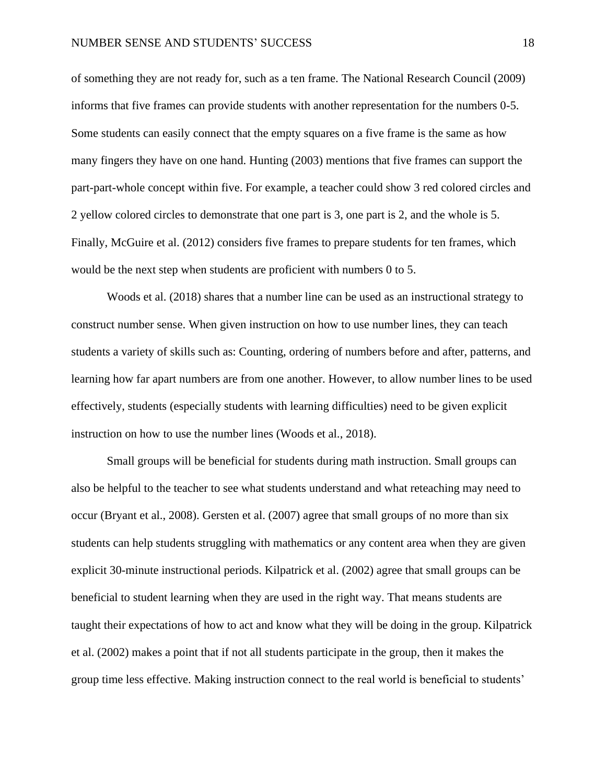of something they are not ready for, such as a ten frame. The National Research Council (2009) informs that five frames can provide students with another representation for the numbers 0-5. Some students can easily connect that the empty squares on a five frame is the same as how many fingers they have on one hand. Hunting (2003) mentions that five frames can support the part-part-whole concept within five. For example, a teacher could show 3 red colored circles and 2 yellow colored circles to demonstrate that one part is 3, one part is 2, and the whole is 5. Finally, McGuire et al. (2012) considers five frames to prepare students for ten frames, which would be the next step when students are proficient with numbers 0 to 5.

Woods et al. (2018) shares that a number line can be used as an instructional strategy to construct number sense. When given instruction on how to use number lines, they can teach students a variety of skills such as: Counting, ordering of numbers before and after, patterns, and learning how far apart numbers are from one another. However, to allow number lines to be used effectively, students (especially students with learning difficulties) need to be given explicit instruction on how to use the number lines (Woods et al., 2018).

Small groups will be beneficial for students during math instruction. Small groups can also be helpful to the teacher to see what students understand and what reteaching may need to occur (Bryant et al., 2008). Gersten et al. (2007) agree that small groups of no more than six students can help students struggling with mathematics or any content area when they are given explicit 30-minute instructional periods. Kilpatrick et al. (2002) agree that small groups can be beneficial to student learning when they are used in the right way. That means students are taught their expectations of how to act and know what they will be doing in the group. Kilpatrick et al. (2002) makes a point that if not all students participate in the group, then it makes the group time less effective. Making instruction connect to the real world is beneficial to students'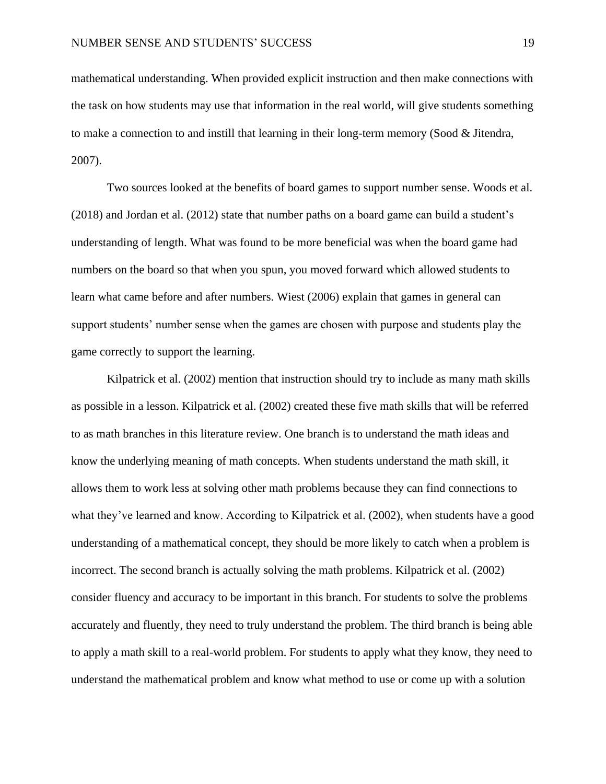mathematical understanding. When provided explicit instruction and then make connections with the task on how students may use that information in the real world, will give students something to make a connection to and instill that learning in their long-term memory (Sood & Jitendra, 2007).

Two sources looked at the benefits of board games to support number sense. Woods et al. (2018) and Jordan et al. (2012) state that number paths on a board game can build a student's understanding of length. What was found to be more beneficial was when the board game had numbers on the board so that when you spun, you moved forward which allowed students to learn what came before and after numbers. Wiest (2006) explain that games in general can support students' number sense when the games are chosen with purpose and students play the game correctly to support the learning.

Kilpatrick et al. (2002) mention that instruction should try to include as many math skills as possible in a lesson. Kilpatrick et al. (2002) created these five math skills that will be referred to as math branches in this literature review. One branch is to understand the math ideas and know the underlying meaning of math concepts. When students understand the math skill, it allows them to work less at solving other math problems because they can find connections to what they've learned and know. According to Kilpatrick et al. (2002), when students have a good understanding of a mathematical concept, they should be more likely to catch when a problem is incorrect. The second branch is actually solving the math problems. Kilpatrick et al. (2002) consider fluency and accuracy to be important in this branch. For students to solve the problems accurately and fluently, they need to truly understand the problem. The third branch is being able to apply a math skill to a real-world problem. For students to apply what they know, they need to understand the mathematical problem and know what method to use or come up with a solution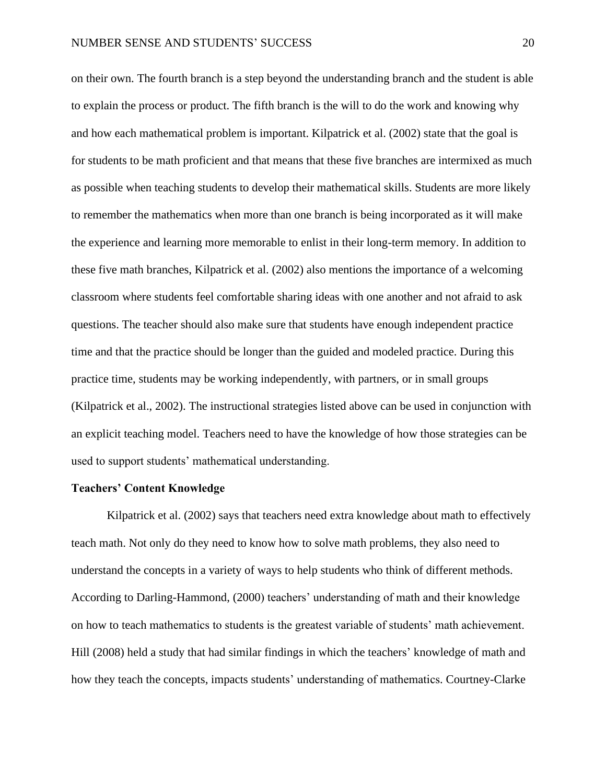on their own. The fourth branch is a step beyond the understanding branch and the student is able to explain the process or product. The fifth branch is the will to do the work and knowing why and how each mathematical problem is important. Kilpatrick et al. (2002) state that the goal is for students to be math proficient and that means that these five branches are intermixed as much as possible when teaching students to develop their mathematical skills. Students are more likely to remember the mathematics when more than one branch is being incorporated as it will make the experience and learning more memorable to enlist in their long-term memory. In addition to these five math branches, Kilpatrick et al. (2002) also mentions the importance of a welcoming classroom where students feel comfortable sharing ideas with one another and not afraid to ask questions. The teacher should also make sure that students have enough independent practice time and that the practice should be longer than the guided and modeled practice. During this practice time, students may be working independently, with partners, or in small groups (Kilpatrick et al., 2002). The instructional strategies listed above can be used in conjunction with an explicit teaching model. Teachers need to have the knowledge of how those strategies can be used to support students' mathematical understanding.

# **Teachers' Content Knowledge**

Kilpatrick et al. (2002) says that teachers need extra knowledge about math to effectively teach math. Not only do they need to know how to solve math problems, they also need to understand the concepts in a variety of ways to help students who think of different methods. According to Darling-Hammond, (2000) teachers' understanding of math and their knowledge on how to teach mathematics to students is the greatest variable of students' math achievement. Hill (2008) held a study that had similar findings in which the teachers' knowledge of math and how they teach the concepts, impacts students' understanding of mathematics. Courtney-Clarke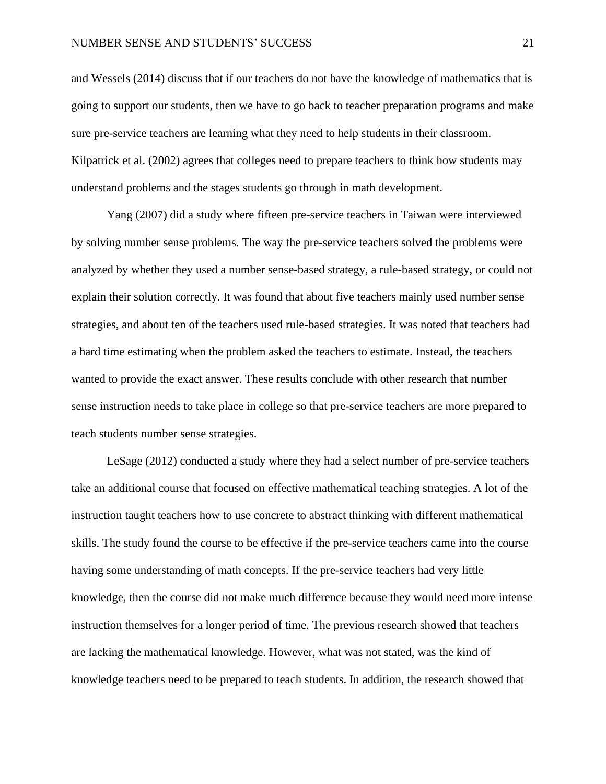and Wessels (2014) discuss that if our teachers do not have the knowledge of mathematics that is going to support our students, then we have to go back to teacher preparation programs and make sure pre-service teachers are learning what they need to help students in their classroom. Kilpatrick et al. (2002) agrees that colleges need to prepare teachers to think how students may understand problems and the stages students go through in math development.

Yang (2007) did a study where fifteen pre-service teachers in Taiwan were interviewed by solving number sense problems. The way the pre-service teachers solved the problems were analyzed by whether they used a number sense-based strategy, a rule-based strategy, or could not explain their solution correctly. It was found that about five teachers mainly used number sense strategies, and about ten of the teachers used rule-based strategies. It was noted that teachers had a hard time estimating when the problem asked the teachers to estimate. Instead, the teachers wanted to provide the exact answer. These results conclude with other research that number sense instruction needs to take place in college so that pre-service teachers are more prepared to teach students number sense strategies.

LeSage (2012) conducted a study where they had a select number of pre-service teachers take an additional course that focused on effective mathematical teaching strategies. A lot of the instruction taught teachers how to use concrete to abstract thinking with different mathematical skills. The study found the course to be effective if the pre-service teachers came into the course having some understanding of math concepts. If the pre-service teachers had very little knowledge, then the course did not make much difference because they would need more intense instruction themselves for a longer period of time. The previous research showed that teachers are lacking the mathematical knowledge. However, what was not stated, was the kind of knowledge teachers need to be prepared to teach students. In addition, the research showed that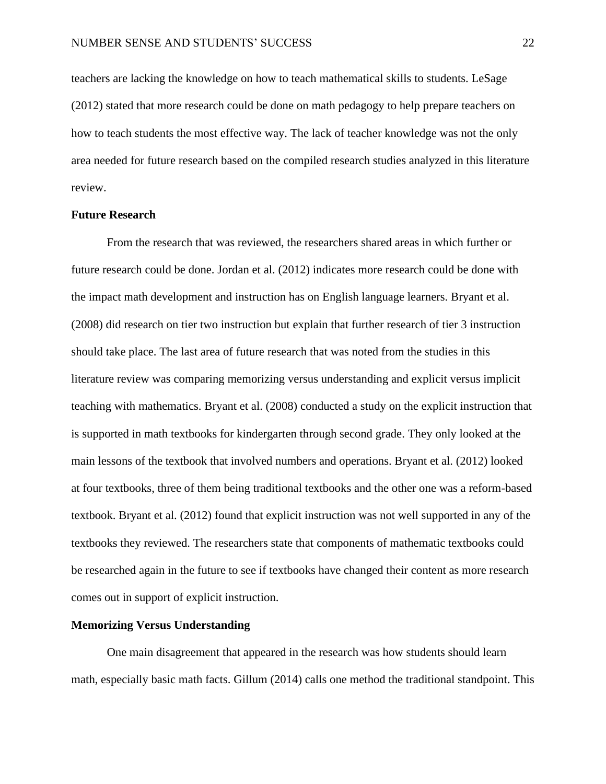teachers are lacking the knowledge on how to teach mathematical skills to students. LeSage (2012) stated that more research could be done on math pedagogy to help prepare teachers on how to teach students the most effective way. The lack of teacher knowledge was not the only area needed for future research based on the compiled research studies analyzed in this literature review.

# **Future Research**

From the research that was reviewed, the researchers shared areas in which further or future research could be done. Jordan et al. (2012) indicates more research could be done with the impact math development and instruction has on English language learners. Bryant et al. (2008) did research on tier two instruction but explain that further research of tier 3 instruction should take place. The last area of future research that was noted from the studies in this literature review was comparing memorizing versus understanding and explicit versus implicit teaching with mathematics. Bryant et al. (2008) conducted a study on the explicit instruction that is supported in math textbooks for kindergarten through second grade. They only looked at the main lessons of the textbook that involved numbers and operations. Bryant et al. (2012) looked at four textbooks, three of them being traditional textbooks and the other one was a reform-based textbook. Bryant et al. (2012) found that explicit instruction was not well supported in any of the textbooks they reviewed. The researchers state that components of mathematic textbooks could be researched again in the future to see if textbooks have changed their content as more research comes out in support of explicit instruction.

#### **Memorizing Versus Understanding**

One main disagreement that appeared in the research was how students should learn math, especially basic math facts. Gillum (2014) calls one method the traditional standpoint. This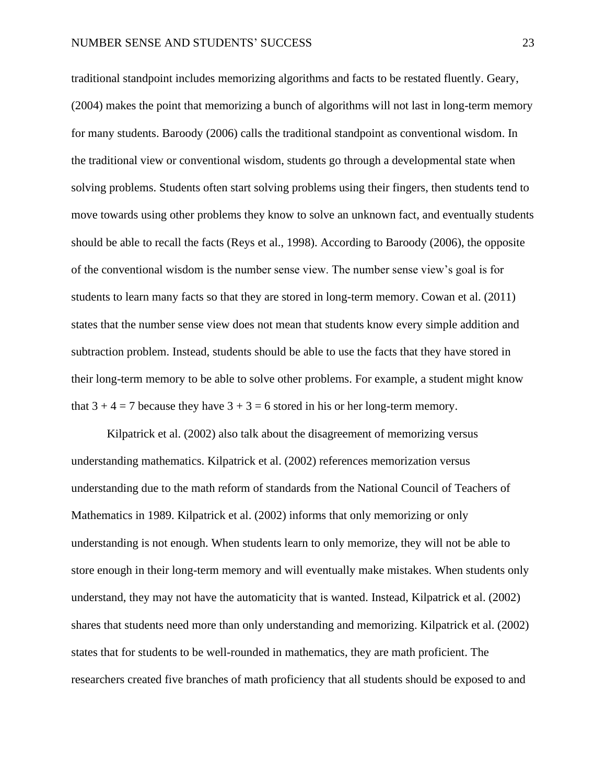traditional standpoint includes memorizing algorithms and facts to be restated fluently. Geary, (2004) makes the point that memorizing a bunch of algorithms will not last in long-term memory for many students. Baroody (2006) calls the traditional standpoint as conventional wisdom. In the traditional view or conventional wisdom, students go through a developmental state when solving problems. Students often start solving problems using their fingers, then students tend to move towards using other problems they know to solve an unknown fact, and eventually students should be able to recall the facts (Reys et al., 1998). According to Baroody (2006), the opposite of the conventional wisdom is the number sense view. The number sense view's goal is for students to learn many facts so that they are stored in long-term memory. Cowan et al. (2011) states that the number sense view does not mean that students know every simple addition and subtraction problem. Instead, students should be able to use the facts that they have stored in their long-term memory to be able to solve other problems. For example, a student might know that  $3 + 4 = 7$  because they have  $3 + 3 = 6$  stored in his or her long-term memory.

Kilpatrick et al. (2002) also talk about the disagreement of memorizing versus understanding mathematics. Kilpatrick et al. (2002) references memorization versus understanding due to the math reform of standards from the National Council of Teachers of Mathematics in 1989. Kilpatrick et al. (2002) informs that only memorizing or only understanding is not enough. When students learn to only memorize, they will not be able to store enough in their long-term memory and will eventually make mistakes. When students only understand, they may not have the automaticity that is wanted. Instead, Kilpatrick et al. (2002) shares that students need more than only understanding and memorizing. Kilpatrick et al. (2002) states that for students to be well-rounded in mathematics, they are math proficient. The researchers created five branches of math proficiency that all students should be exposed to and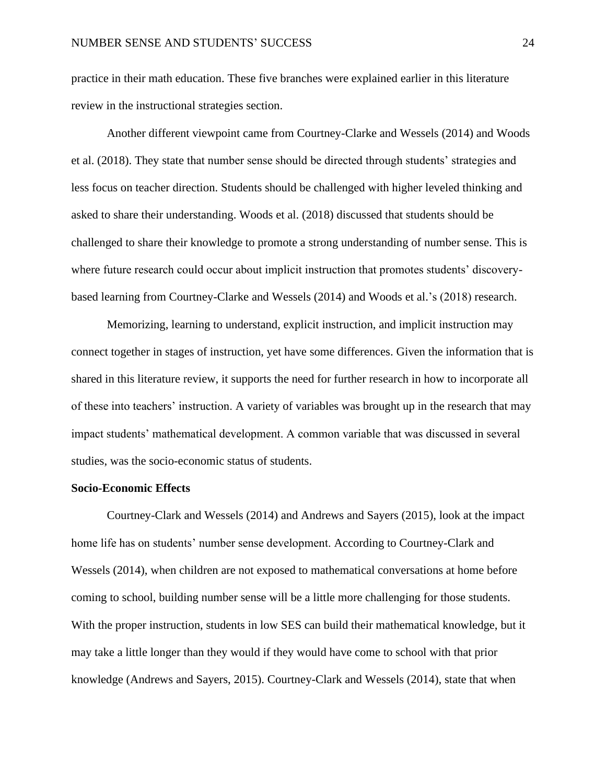practice in their math education. These five branches were explained earlier in this literature review in the instructional strategies section.

Another different viewpoint came from Courtney-Clarke and Wessels (2014) and Woods et al. (2018). They state that number sense should be directed through students' strategies and less focus on teacher direction. Students should be challenged with higher leveled thinking and asked to share their understanding. Woods et al. (2018) discussed that students should be challenged to share their knowledge to promote a strong understanding of number sense. This is where future research could occur about implicit instruction that promotes students' discoverybased learning from Courtney-Clarke and Wessels (2014) and Woods et al.'s (2018) research.

Memorizing, learning to understand, explicit instruction, and implicit instruction may connect together in stages of instruction, yet have some differences. Given the information that is shared in this literature review, it supports the need for further research in how to incorporate all of these into teachers' instruction. A variety of variables was brought up in the research that may impact students' mathematical development. A common variable that was discussed in several studies, was the socio-economic status of students.

# **Socio-Economic Effects**

Courtney-Clark and Wessels (2014) and Andrews and Sayers (2015), look at the impact home life has on students' number sense development. According to Courtney-Clark and Wessels (2014), when children are not exposed to mathematical conversations at home before coming to school, building number sense will be a little more challenging for those students. With the proper instruction, students in low SES can build their mathematical knowledge, but it may take a little longer than they would if they would have come to school with that prior knowledge (Andrews and Sayers, 2015). Courtney-Clark and Wessels (2014), state that when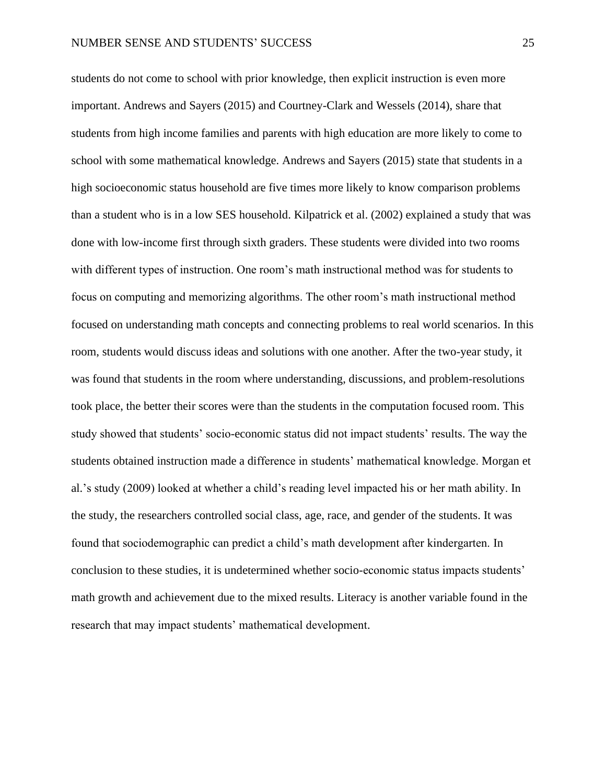students do not come to school with prior knowledge, then explicit instruction is even more important. Andrews and Sayers (2015) and Courtney-Clark and Wessels (2014), share that students from high income families and parents with high education are more likely to come to school with some mathematical knowledge. Andrews and Sayers (2015) state that students in a high socioeconomic status household are five times more likely to know comparison problems than a student who is in a low SES household. Kilpatrick et al. (2002) explained a study that was done with low-income first through sixth graders. These students were divided into two rooms with different types of instruction. One room's math instructional method was for students to focus on computing and memorizing algorithms. The other room's math instructional method focused on understanding math concepts and connecting problems to real world scenarios. In this room, students would discuss ideas and solutions with one another. After the two-year study, it was found that students in the room where understanding, discussions, and problem-resolutions took place, the better their scores were than the students in the computation focused room. This study showed that students' socio-economic status did not impact students' results. The way the students obtained instruction made a difference in students' mathematical knowledge. Morgan et al.'s study (2009) looked at whether a child's reading level impacted his or her math ability. In the study, the researchers controlled social class, age, race, and gender of the students. It was found that sociodemographic can predict a child's math development after kindergarten. In conclusion to these studies, it is undetermined whether socio-economic status impacts students' math growth and achievement due to the mixed results. Literacy is another variable found in the research that may impact students' mathematical development.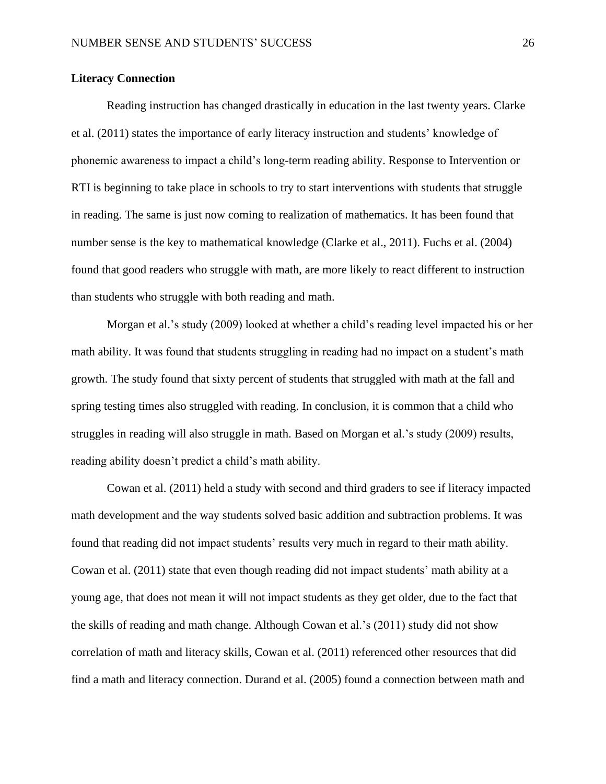# **Literacy Connection**

Reading instruction has changed drastically in education in the last twenty years. Clarke et al. (2011) states the importance of early literacy instruction and students' knowledge of phonemic awareness to impact a child's long-term reading ability. Response to Intervention or RTI is beginning to take place in schools to try to start interventions with students that struggle in reading. The same is just now coming to realization of mathematics. It has been found that number sense is the key to mathematical knowledge (Clarke et al., 2011). Fuchs et al. (2004) found that good readers who struggle with math, are more likely to react different to instruction than students who struggle with both reading and math.

Morgan et al.'s study (2009) looked at whether a child's reading level impacted his or her math ability. It was found that students struggling in reading had no impact on a student's math growth. The study found that sixty percent of students that struggled with math at the fall and spring testing times also struggled with reading. In conclusion, it is common that a child who struggles in reading will also struggle in math. Based on Morgan et al.'s study (2009) results, reading ability doesn't predict a child's math ability.

Cowan et al. (2011) held a study with second and third graders to see if literacy impacted math development and the way students solved basic addition and subtraction problems. It was found that reading did not impact students' results very much in regard to their math ability. Cowan et al. (2011) state that even though reading did not impact students' math ability at a young age, that does not mean it will not impact students as they get older, due to the fact that the skills of reading and math change. Although Cowan et al.'s (2011) study did not show correlation of math and literacy skills, Cowan et al. (2011) referenced other resources that did find a math and literacy connection. Durand et al. (2005) found a connection between math and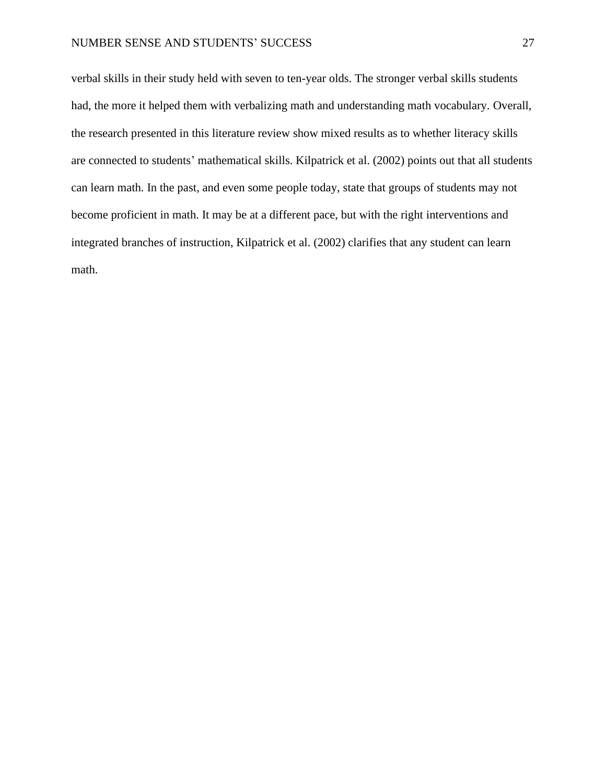# NUMBER SENSE AND STUDENTS' SUCCESS 27

verbal skills in their study held with seven to ten-year olds. The stronger verbal skills students had, the more it helped them with verbalizing math and understanding math vocabulary. Overall, the research presented in this literature review show mixed results as to whether literacy skills are connected to students' mathematical skills. Kilpatrick et al. (2002) points out that all students can learn math. In the past, and even some people today, state that groups of students may not become proficient in math. It may be at a different pace, but with the right interventions and integrated branches of instruction, Kilpatrick et al. (2002) clarifies that any student can learn math.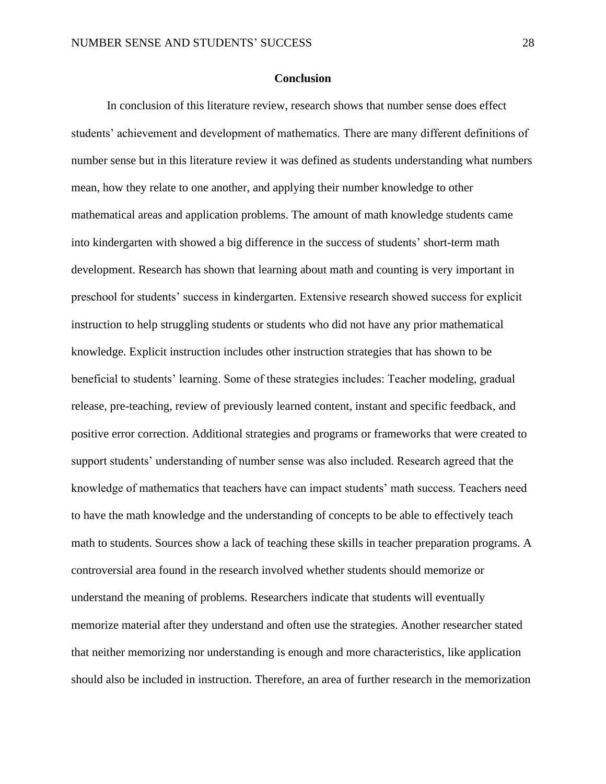# **Conclusion**

In conclusion of this literature review, research shows that number sense does effect students' achievement and development of mathematics. There are many different definitions of number sense but in this literature review it was defined as students understanding what numbers mean, how they relate to one another, and applying their number knowledge to other mathematical areas and application problems. The amount of math knowledge students came into kindergarten with showed a big difference in the success of students' short-term math development. Research has shown that learning about math and counting is very important in preschool for students' success in kindergarten. Extensive research showed success for explicit instruction to help struggling students or students who did not have any prior mathematical knowledge. Explicit instruction includes other instruction strategies that has shown to be beneficial to students' learning. Some of these strategies includes: Teacher modeling, gradual release, pre-teaching, review of previously learned content, instant and specific feedback, and positive error correction. Additional strategies and programs or frameworks that were created to support students' understanding of number sense was also included. Research agreed that the knowledge of mathematics that teachers have can impact students' math success. Teachers need to have the math knowledge and the understanding of concepts to be able to effectively teach math to students. Sources show a lack of teaching these skills in teacher preparation programs. A controversial area found in the research involved whether students should memorize or understand the meaning of problems. Researchers indicate that students will eventually memorize material after they understand and often use the strategies. Another researcher stated that neither memorizing nor understanding is enough and more characteristics, like application should also be included in instruction. Therefore, an area of further research in the memorization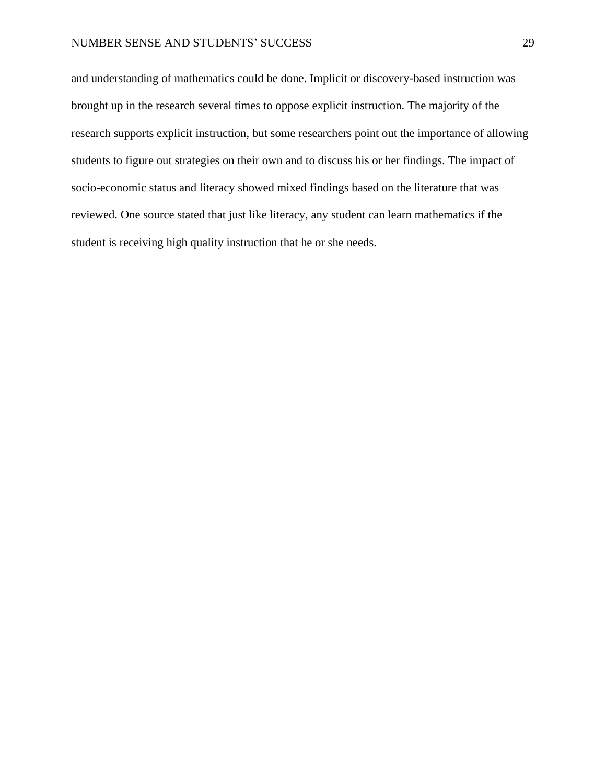# NUMBER SENSE AND STUDENTS' SUCCESS 29

and understanding of mathematics could be done. Implicit or discovery-based instruction was brought up in the research several times to oppose explicit instruction. The majority of the research supports explicit instruction, but some researchers point out the importance of allowing students to figure out strategies on their own and to discuss his or her findings. The impact of socio-economic status and literacy showed mixed findings based on the literature that was reviewed. One source stated that just like literacy, any student can learn mathematics if the student is receiving high quality instruction that he or she needs.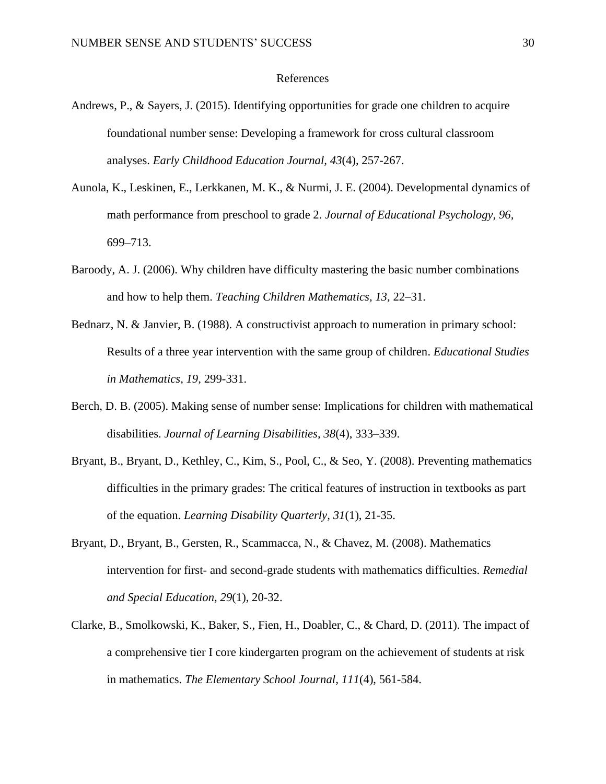# References

- Andrews, P., & Sayers, J. (2015). Identifying opportunities for grade one children to acquire foundational number sense: Developing a framework for cross cultural classroom analyses. *Early Childhood Education Journal, 43*(4), 257-267.
- Aunola, K., Leskinen, E., Lerkkanen, M. K., & Nurmi, J. E. (2004). Developmental dynamics of math performance from preschool to grade 2. *Journal of Educational Psychology, 96,*  699–713.
- Baroody, A. J. (2006). Why children have difficulty mastering the basic number combinations and how to help them. *Teaching Children Mathematics, 13,* 22–31.
- Bednarz, N. & Janvier, B. (1988). A constructivist approach to numeration in primary school: Results of a three year intervention with the same group of children. *Educational Studies in Mathematics, 19,* 299-331.
- Berch, D. B. (2005). Making sense of number sense: Implications for children with mathematical disabilities. *Journal of Learning Disabilities, 38*(4), 333–339.
- Bryant, B., Bryant, D., Kethley, C., Kim, S., Pool, C., & Seo, Y. (2008). Preventing mathematics difficulties in the primary grades: The critical features of instruction in textbooks as part of the equation. *Learning Disability Quarterly, 31*(1), 21-35.
- Bryant, D., Bryant, B., Gersten, R., Scammacca, N., & Chavez, M. (2008). Mathematics intervention for first- and second-grade students with mathematics difficulties. *Remedial and Special Education, 29*(1), 20-32.
- Clarke, B., Smolkowski, K., Baker, S., Fien, H., Doabler, C., & Chard, D. (2011). The impact of a comprehensive tier I core kindergarten program on the achievement of students at risk in mathematics. *The Elementary School Journal, 111*(4), 561-584.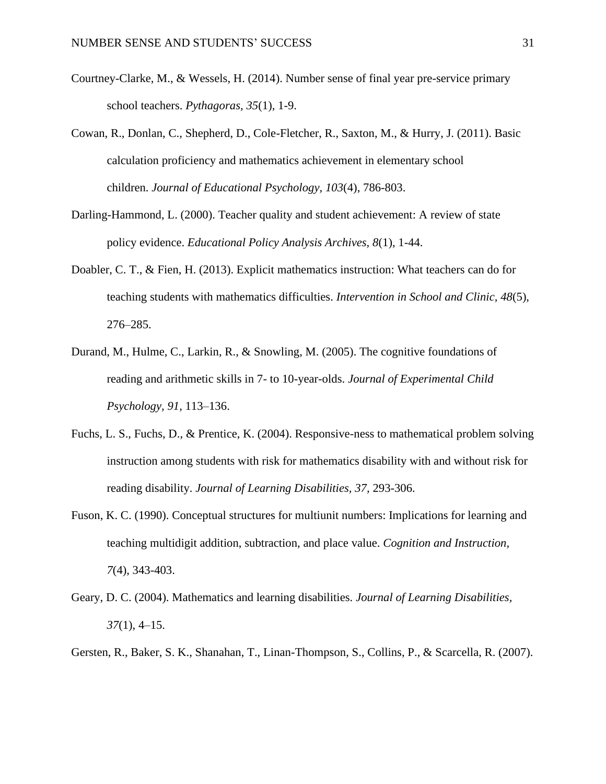- Courtney-Clarke, M., & Wessels, H. (2014). Number sense of final year pre-service primary school teachers. *Pythagoras, 35*(1), 1-9.
- Cowan, R., Donlan, C., Shepherd, D., Cole-Fletcher, R., Saxton, M., & Hurry, J. (2011). Basic calculation proficiency and mathematics achievement in elementary school children. *Journal of Educational Psychology, 103*(4), 786-803.
- Darling-Hammond, L. (2000). Teacher quality and student achievement: A review of state policy evidence. *Educational Policy Analysis Archives, 8*(1), 1-44.
- Doabler, C. T., & Fien, H. (2013). Explicit mathematics instruction: What teachers can do for teaching students with mathematics difficulties. *Intervention in School and Clinic, 48*(5), 276–285.
- Durand, M., Hulme, C., Larkin, R., & Snowling, M. (2005). The cognitive foundations of reading and arithmetic skills in 7- to 10-year-olds. *Journal of Experimental Child Psychology, 91,* 113–136.
- Fuchs, L. S., Fuchs, D., & Prentice, K. (2004). Responsive-ness to mathematical problem solving instruction among students with risk for mathematics disability with and without risk for reading disability. *Journal of Learning Disabilities, 37,* 293-306.
- Fuson, K. C. (1990). Conceptual structures for multiunit numbers: Implications for learning and teaching multidigit addition, subtraction, and place value. *Cognition and Instruction, 7*(4), 343-403.
- Geary, D. C. (2004). Mathematics and learning disabilities. *Journal of Learning Disabilities, 37*(1), 4–15.
- Gersten, R., Baker, S. K., Shanahan, T., Linan-Thompson, S., Collins, P., & Scarcella, R. (2007).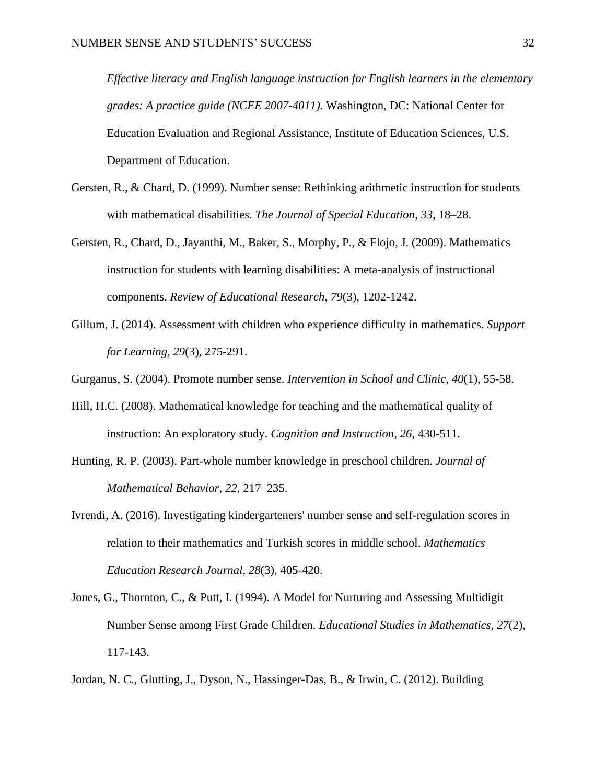*Effective literacy and English language instruction for English learners in the elementary grades: A practice guide (NCEE 2007-4011).* Washington, DC: National Center for Education Evaluation and Regional Assistance, Institute of Education Sciences, U.S. Department of Education.

- Gersten, R., & Chard, D. (1999). Number sense: Rethinking arithmetic instruction for students with mathematical disabilities. *The Journal of Special Education, 33,* 18–28.
- Gersten, R., Chard, D., Jayanthi, M., Baker, S., Morphy, P., & Flojo, J. (2009). Mathematics instruction for students with learning disabilities: A meta-analysis of instructional components. *Review of Educational Research, 79*(3), 1202-1242.
- Gillum, J. (2014). Assessment with children who experience difficulty in mathematics. *Support for Learning, 29*(3), 275-291.

Gurganus, S. (2004). Promote number sense. *Intervention in School and Clinic, 40*(1), 55-58.

- Hill, H.C. (2008). Mathematical knowledge for teaching and the mathematical quality of instruction: An exploratory study. *Cognition and Instruction, 26,* 430-511.
- Hunting, R. P. (2003). Part-whole number knowledge in preschool children. *Journal of Mathematical Behavior, 22,* 217–235.
- Ivrendi, A. (2016). Investigating kindergarteners' number sense and self-regulation scores in relation to their mathematics and Turkish scores in middle school. *Mathematics Education Research Journal, 28*(3), 405-420.
- Jones, G., Thornton, C., & Putt, I. (1994). A Model for Nurturing and Assessing Multidigit Number Sense among First Grade Children. *Educational Studies in Mathematics, 27*(2), 117-143.
- Jordan, N. C., Glutting, J., Dyson, N., Hassinger-Das, B., & Irwin, C. (2012). Building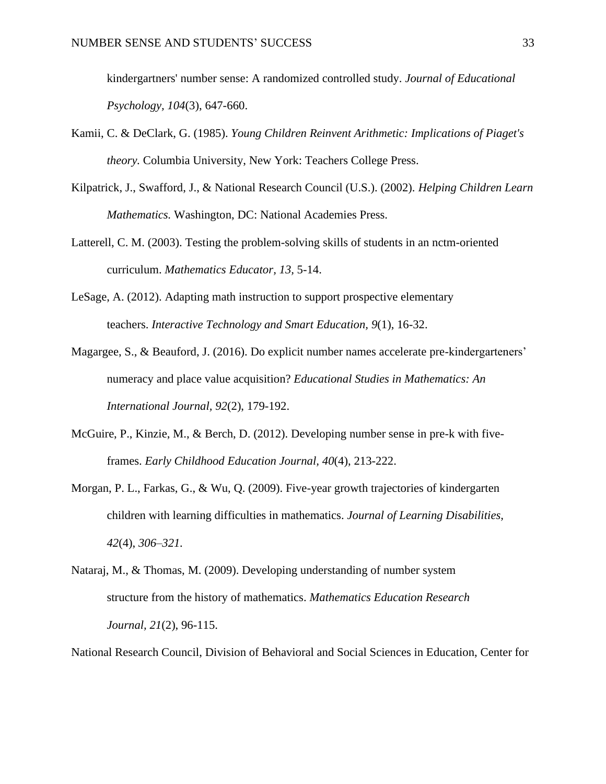kindergartners' number sense: A randomized controlled study. *Journal of Educational Psychology, 104*(3), 647-660.

- Kamii, C. & DeClark, G. (1985). *Young Children Reinvent Arithmetic: Implications of Piaget's theory.* Columbia University, New York: Teachers College Press.
- Kilpatrick, J., Swafford, J., & National Research Council (U.S.). (2002). *Helping Children Learn Mathematics.* Washington, DC: National Academies Press.
- Latterell, C. M. (2003). Testing the problem-solving skills of students in an nctm-oriented curriculum. *Mathematics Educator, 13,* 5-14.
- LeSage, A. (2012). Adapting math instruction to support prospective elementary teachers. *Interactive Technology and Smart Education, 9*(1), 16-32.
- Magargee, S., & Beauford, J. (2016). Do explicit number names accelerate pre-kindergarteners' numeracy and place value acquisition? *Educational Studies in Mathematics: An International Journal, 92*(2), 179-192.
- McGuire, P., Kinzie, M., & Berch, D. (2012). Developing number sense in pre-k with fiveframes. *Early Childhood Education Journal, 40*(4), 213-222.
- Morgan, P. L., Farkas, G., & Wu, Q. (2009). Five-year growth trajectories of kindergarten children with learning difficulties in mathematics. *Journal of Learning Disabilities, 42*(4), *306–321.*
- Nataraj, M., & Thomas, M. (2009). Developing understanding of number system structure from the history of mathematics. *Mathematics Education Research Journal, 21*(2), 96-115.

National Research Council, Division of Behavioral and Social Sciences in Education, Center for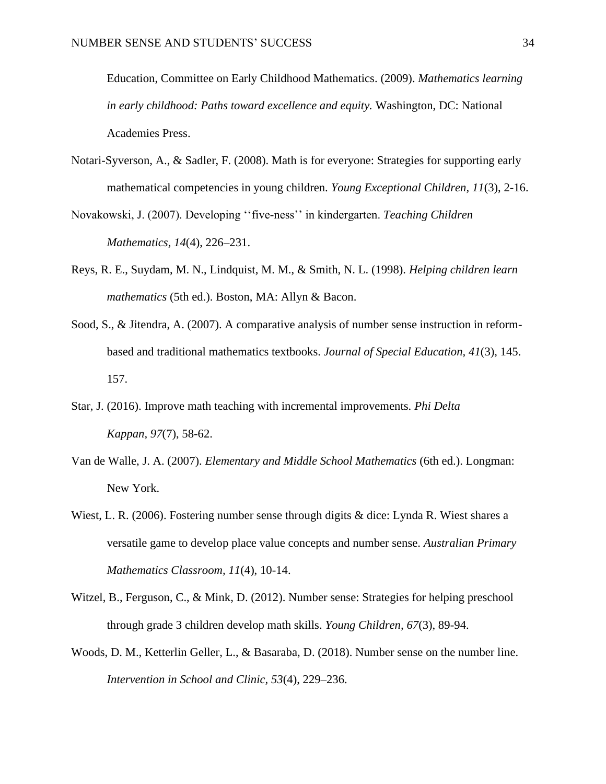Education, Committee on Early Childhood Mathematics. (2009). *Mathematics learning in early childhood: Paths toward excellence and equity.* Washington, DC: National Academies Press.

- Notari-Syverson, A., & Sadler, F. (2008). Math is for everyone: Strategies for supporting early mathematical competencies in young children. *Young Exceptional Children, 11*(3), 2-16.
- Novakowski, J. (2007). Developing ''five-ness'' in kindergarten. *Teaching Children Mathematics, 14*(4), 226–231.
- Reys, R. E., Suydam, M. N., Lindquist, M. M., & Smith, N. L. (1998). *Helping children learn mathematics* (5th ed.). Boston, MA: Allyn & Bacon.
- Sood, S., & Jitendra, A. (2007). A comparative analysis of number sense instruction in reformbased and traditional mathematics textbooks. *Journal of Special Education, 41*(3), 145. 157.
- Star, J. (2016). Improve math teaching with incremental improvements. *Phi Delta Kappan, 97*(7), 58-62.
- Van de Walle, J. A. (2007). *Elementary and Middle School Mathematics* (6th ed.). Longman: New York.
- Wiest, L. R. (2006). Fostering number sense through digits & dice: Lynda R. Wiest shares a versatile game to develop place value concepts and number sense. *Australian Primary Mathematics Classroom, 11*(4), 10-14.
- Witzel, B., Ferguson, C., & Mink, D. (2012). Number sense: Strategies for helping preschool through grade 3 children develop math skills. *Young Children, 67*(3), 89-94.
- Woods, D. M., Ketterlin Geller, L., & Basaraba, D. (2018). Number sense on the number line. *Intervention in School and Clinic, 53*(4), 229–236.